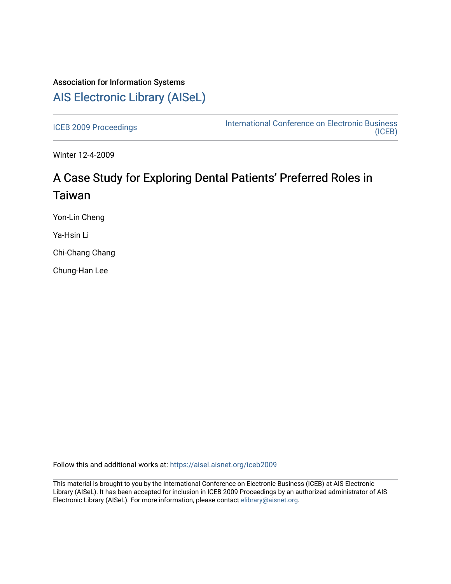## Association for Information Systems [AIS Electronic Library \(AISeL\)](https://aisel.aisnet.org/)

[ICEB 2009 Proceedings](https://aisel.aisnet.org/iceb2009) **International Conference on Electronic Business** [\(ICEB\)](https://aisel.aisnet.org/iceb) 

Winter 12-4-2009

# A Case Study for Exploring Dental Patients' Preferred Roles in Taiwan

Yon-Lin Cheng

Ya-Hsin Li

Chi-Chang Chang

Chung-Han Lee

Follow this and additional works at: [https://aisel.aisnet.org/iceb2009](https://aisel.aisnet.org/iceb2009?utm_source=aisel.aisnet.org%2Ficeb2009%2F10&utm_medium=PDF&utm_campaign=PDFCoverPages)

This material is brought to you by the International Conference on Electronic Business (ICEB) at AIS Electronic Library (AISeL). It has been accepted for inclusion in ICEB 2009 Proceedings by an authorized administrator of AIS Electronic Library (AISeL). For more information, please contact [elibrary@aisnet.org.](mailto:elibrary@aisnet.org%3E)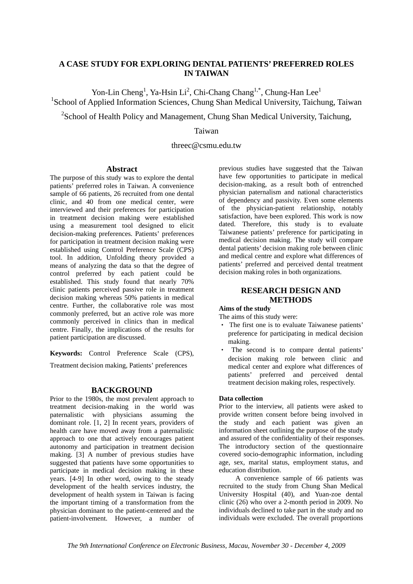## **A CASE STUDY FOR EXPLORING DENTAL PATIENTS' PREFERRED ROLES IN TAIWAN**

Yon-Lin Cheng<sup>1</sup>, Ya-Hsin Li<sup>2</sup>, Chi-Chang Chang<sup>1,\*</sup>, Chung-Han Lee<sup>1</sup> <sup>1</sup>School of Applied Information Sciences, Chung Shan Medical University, Taichung, Taiwan

 $2$ School of Health Policy and Management, Chung Shan Medical University, Taichung,

## Taiwan

## threec@csmu.edu.tw

#### **Abstract**

The purpose of this study was to explore the dental patients' preferred roles in Taiwan. A convenience sample of 66 patients, 26 recruited from one dental clinic, and 40 from one medical center, were interviewed and their preferences for participation in treatment decision making were established using a measurement tool designed to elicit decision-making preferences. Patients' preferences for participation in treatment decision making were established using Control Preference Scale (CPS) tool. In addition, Unfolding theory provided a means of analyzing the data so that the degree of control preferred by each patient could be established. This study found that nearly 70% clinic patients perceived passive role in treatment decision making whereas 50% patients in medical centre. Further, the collaborative role was most commonly preferred, but an active role was more commonly perceived in clinics than in medical centre. Finally, the implications of the results for patient participation are discussed.

**Keywords:** Control Preference Scale (CPS),

Treatment decision making, Patients' preferences

#### **BACKGROUND**

Prior to the 1980s, the most prevalent approach to treatment decision-making in the world was paternalistic with physicians assuming the dominant role. [1, 2] In recent years, providers of health care have moved away from a paternalistic approach to one that actively encourages patient autonomy and participation in treatment decision making. [3] A number of previous studies have suggested that patients have some opportunities to participate in medical decision making in these years. [4-9] In other word, owing to the steady development of the health services industry, the development of health system in Taiwan is facing the important timing of a transformation from the physician dominant to the patient-centered and the patient-involvement. However, a number of previous studies have suggested that the Taiwan have few opportunities to participate in medical decision-making, as a result both of entrenched physician paternalism and national characteristics of dependency and passivity. Even some elements of the physician-patient relationship, notably satisfaction, have been explored. This work is now dated. Therefore, this study is to evaluate Taiwanese patients' preference for participating in medical decision making. The study will compare dental patients' decision making role between clinic and medical centre and explore what differences of patients' preferred and perceived dental treatment decision making roles in both organizations.

## **RESEARCH DESIGN AND METHODS**

#### **Aims of the study**

The aims of this study were:

- ‧ The first one is to evaluate Taiwanese patients' preference for participating in medical decision making.
- The second is to compare dental patients' decision making role between clinic and medical center and explore what differences of patients' preferred and perceived dental treatment decision making roles, respectively.

#### **Data collection**

Prior to the interview, all patients were asked to provide written consent before being involved in the study and each patient was given an information sheet outlining the purpose of the study and assured of the confidentiality of their responses. The introductory section of the questionnaire covered socio-demographic information, including age, sex, marital status, employment status, and education distribution.

A convenience sample of 66 patients was recruited to the study from Chung Shan Medical University Hospital (40), and Yuan-zoe dental clinic (26) who over a 2-month period in 2009. No individuals declined to take part in the study and no individuals were excluded. The overall proportions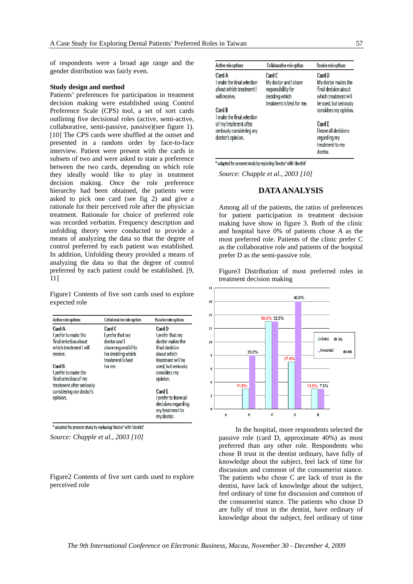of respondents were a broad age range and the gender distribution was fairly even.

#### **Study design and method**

Patients' preferences for participation in treatment decision making were established using Control Preference Scale (CPS) tool, a set of sort cards outlining five decisional roles (active, semi-active, collaborative, semi-passive, passive)(see figure 1). [10] The CPS cards were shuffled at the outset and presented in a random order by face-to-face interview. Patient were present with the cards in subsets of two and were asked to state a preference between the two cards, depending on which role they ideally would like to play in treatment decision making. Once the role preference hierarchy had been obtained, the patients were asked to pick one card (see fig 2) and give a rationale for their perceived role after the physician treatment. Rationale for choice of preferred role was recorded verbatim. Frequency description and unfolding theory were conducted to provide a means of analyzing the data so that the degree of control preferred by each patient was established. In addition, Unfolding theory provided a means of analyzing the data so that the degree of control preferred by each patient could be established. [9, 11]

Figure1 Contents of five sort cards used to explore expected role

| Active role options       | Collaborative role option | Passive role options  |
|---------------------------|---------------------------|-----------------------|
| Card A                    | Card C                    | Card D                |
| I prefer to make the      | I prefer that my          | I prefer that my      |
| final selection about     | doctor and I              | doctor makes the      |
| which treatment I will    | share responsibility      | final decision        |
| receive.                  | for deciding which        | about which           |
|                           | treatment is best         | treatment will be     |
| Card B                    | for me.                   | used, but seriously   |
| I prefer to make the      |                           | considers my          |
| final selection of my     |                           | opinion.              |
| treatment after seriously |                           |                       |
| considering my doctor's   |                           | Card E                |
| opinion.                  |                           | I prefer to leave all |
|                           |                           | decisions regarding   |
|                           |                           | my treatment to       |
|                           |                           | my doctor.            |

\* adapted for present study by replacing 'doctor' with 'dentist'

*Source: Chapple et al., 2003 [10]* 

Figure2 Contents of five sort cards used to explore perceived role

| Active role options                                                              | Collaborative role option                                                                            | Passive role options                                                                                    |  |
|----------------------------------------------------------------------------------|------------------------------------------------------------------------------------------------------|---------------------------------------------------------------------------------------------------------|--|
| Card A<br>I make the final selection<br>about which treatment I<br>will receive. | Card C<br>My doctor and I share<br>responsibility for<br>deciding which<br>treatment is best for me. | Card D<br>My doctor makes the<br>final decision about<br>which treatment will<br>be used, but seriously |  |
| Card B<br>I make the final selection                                             |                                                                                                      | considers my opinion.                                                                                   |  |
| of my treatment after<br>seriously considering my<br>doctor's opinion.           |                                                                                                      | Card E<br>I leave all decisions<br>regarding my<br>treatment to my<br>doctor.                           |  |

\* adapted for present study by replacing 'doctor' with 'dentist'

*Source: Chapple et al., 2003 [10]* 

## **DATA ANALYSIS**

Among all of the patients, the ratios of preferences for patient participation in treatment decision making have show in figure 3. Both of the clinic and hospital have 0% of patients chose A as the most preferred role. Patients of the clinic prefer C as the collaborative role and patients of the hospital prefer D as the semi-passive role.

Figure3 Distribution of most preferred roles in treatment decision making



In the hospital, more respondents selected the passive role (card D, approximate 40%) as most preferred than any other role. Respondents who chose B trust in the dentist ordinary, have fully of knowledge about the subject, feel lack of time for discussion and common of the consumerist stance. The patients who chose C are lack of trust in the dentist, have lack of knowledge about the subject, feel ordinary of time for discussion and common of the consumerist stance. The patients who chose D are fully of trust in the dentist, have ordinary of knowledge about the subject, feel ordinary of time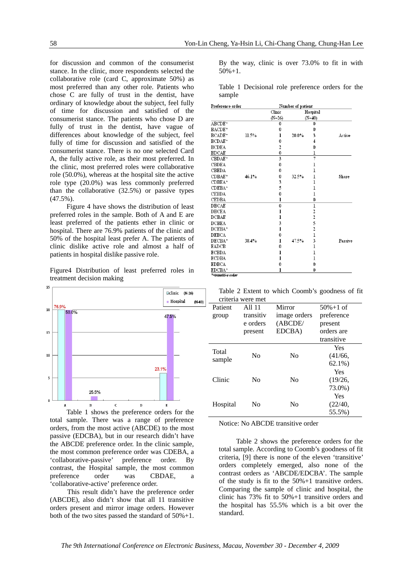for discussion and common of the consumerist stance. In the clinic, more respondents selected the collaborative role (card C, approximate 50%) as most preferred than any other role. Patients who chose C are fully of trust in the dentist, have ordinary of knowledge about the subject, feel fully of time for discussion and satisfied of the consumerist stance. The patients who chose D are fully of trust in the dentist, have vague of differences about knowledge of the subject, feel fully of time for discussion and satisfied of the consumerist stance. There is no one selected Card A, the fully active role, as their most preferred. In the clinic, most preferred roles were collaborative role (50.0%), whereas at the hospital site the active role type (20.0%) was less commonly preferred than the collaborative (32.5%) or passive types (47.5%).

Figure 4 have shows the distribution of least preferred roles in the sample. Both of A and E are least preferred of the patients ether in clinic or hospital. There are 76.9% patients of the clinic and 50% of the hospital least prefer A. The patients of clinic dislike active role and almost a half of patients in hospital dislike passive role.

Figure4 Distribution of least preferred roles in treatment decision making



Table 1 shows the preference orders for the total sample. There was a range of preference orders, from the most active (ABCDE) to the most passive (EDCBA), but in our research didn't have the ABCDE preference order. In the clinic sample, the most common preference order was CDEBA, a 'collaborative-passive' preference order. By contrast, the Hospital sample, the most common preference order was CBDAE, a 'collaborative-active' preference order.

This result didn't have the preference order (ABCDE), also didn't show that all 11 transitive orders present and mirror image orders. However both of the two sites passed the standard of 50%+1. By the way, clinic is over 73.0% to fit in with 50%+1.

Table 1 Decisional role preference orders for the sample

| Preference order   |       | Number of patient |          |                |         |
|--------------------|-------|-------------------|----------|----------------|---------|
|                    |       | Clinic            |          | Hospital       |         |
|                    |       | $(N=26)$          |          | $(N=40)$       |         |
| ABCDE*             |       | Û                 |          | Û              |         |
| BACDE <sup>*</sup> |       | Û                 |          | Û              |         |
| BCADE*             | 11.5% | 1                 | $20.0\%$ | 3              | Active  |
| BCDAE <sup>*</sup> |       | Û                 |          | 4              |         |
| <b>BCDEA</b>       |       | $\overline{c}$    |          | 0              |         |
| <b>BDCAE</b>       |       | 0                 |          | ı              |         |
| CBDAE <sup>*</sup> |       | 3                 |          | 7              |         |
| CBDEA              |       | 0                 |          | $\mathbf{I}$   |         |
| <b>CBEDA</b>       |       | 0                 |          | $\mathbf{I}$   |         |
| CDBAE*             | 46.1% | 0                 | 32.5%    | ı              | Share   |
| CDBEA*             |       | 3                 |          | ı              |         |
| CDEBA*             |       | 5                 |          | $\mathbf{I}$   |         |
| <b>CEBDA</b>       |       | 0                 |          | ı              |         |
| <b>CEDBA</b>       |       | ı                 |          | Û              |         |
| <b>DBCAE</b>       |       | 0                 |          | ı              |         |
| <b>DBCEA</b>       |       | 1                 |          | $\overline{c}$ |         |
| <b>DCBAE</b>       |       | ı                 |          | $\overline{c}$ |         |
| <b>DCBEA</b>       |       | 3                 |          | 5              |         |
| DCEBA*             |       | ı                 |          | $\overline{c}$ |         |
| <b>DEBCA</b>       |       | 0                 |          | $\bf{l}$       |         |
| DECBA <sup>*</sup> | 38.4% | 1                 | 47.5%    | 3              | Passive |
| EADCB              |       | 0                 |          | $\bf{l}$       |         |
| <b>ECBDA</b>       |       | ı                 |          | l              |         |
| <b>ECDBA</b>       |       | ı                 |          | ı              |         |
| <b>EDBCA</b>       |       | Û                 |          | Û              |         |
| <b>EDCBA*</b>      |       | ı                 |          | Û              |         |
| *=transitive order |       |                   |          |                |         |

| Table 2 Extent to which Coomb's goodness of fit |  |  |  |
|-------------------------------------------------|--|--|--|
| criteria were met                               |  |  |  |

|          | criteria were met |                |               |
|----------|-------------------|----------------|---------------|
| Patient  | All 11            | Mirror         | $50\% + 1$ of |
| group    | transitiv         | image orders   | preference    |
|          | e orders          | (ABCDE/        | present       |
|          | present           | EDCBA)         | orders are    |
|          |                   |                | transitive    |
| Total    |                   |                | <b>Yes</b>    |
|          | N <sub>0</sub>    | N <sub>0</sub> | (41/66,       |
| sample   |                   |                | $62.1\%$      |
|          |                   |                | Yes           |
| Clinic   | No                | N <sub>0</sub> | (19/26,       |
|          |                   |                | 73.0%)        |
|          |                   |                | Yes           |
| Hospital | No                | No             | (22/40,       |
|          |                   |                | 55.5%)        |

Notice: No ABCDE transitive order

Table 2 shows the preference orders for the total sample. According to Coomb's goodness of fit criteria, [9] there is none of the eleven 'transitive' orders completely emerged, also none of the contrast orders as 'ABCDE/EDCBA'. The sample of the study is fit to the 50%+1 transitive orders. Comparing the sample of clinic and hospital, the clinic has 73% fit to 50%+1 transitive orders and the hospital has 55.5% which is a bit over the standard.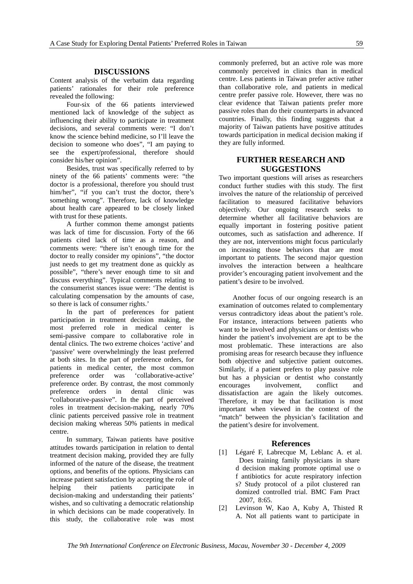#### **DISCUSSIONS**

Content analysis of the verbatim data regarding patients' rationales for their role preference revealed the following:

Four-six of the 66 patients interviewed mentioned lack of knowledge of the subject as influencing their ability to participate in treatment decisions, and several comments were: "I don't know the science behind medicine, so I'll leave the decision to someone who does", "I am paying to see the expert/professional, therefore should consider his/her opinion".

Besides, trust was specifically referred to by ninety of the 66 patients' comments were: "the doctor is a professional, therefore you should trust him/her", "if you can't trust the doctor, there's something wrong". Therefore, lack of knowledge about health care appeared to be closely linked with trust for these patients.

A further common theme amongst patients was lack of time for discussion. Forty of the 66 patients cited lack of time as a reason, and comments were: "there isn't enough time for the doctor to really consider my opinions", "the doctor just needs to get my treatment done as quickly as possible", "there's never enough time to sit and discuss everything". Typical comments relating to the consumerist stances issue were: 'The dentist is calculating compensation by the amounts of case, so there is lack of consumer rights.'

In the part of preferences for patient participation in treatment decision making, the most preferred role in medical center is semi-passive compare to collaborative role in dental clinics. The two extreme choices 'active' and 'passive' were overwhelmingly the least preferred at both sites. In the part of preference orders, for patients in medical center, the most common preference order was 'collaborative-active' preference order. By contrast, the most commonly preference orders in dental clinic was "collaborative-passive". In the part of perceived roles in treatment decision-making, nearly 70% clinic patients perceived passive role in treatment decision making whereas 50% patients in medical centre.

In summary, Taiwan patients have positive attitudes towards participation in relation to dental treatment decision making, provided they are fully informed of the nature of the disease, the treatment options, and benefits of the options. Physicians can increase patient satisfaction by accepting the role of helping their patients participate in decision-making and understanding their patients' wishes, and so cultivating a democratic relationship in which decisions can be made cooperatively. In this study, the collaborative role was most commonly preferred, but an active role was more commonly perceived in clinics than in medical centre. Less patients in Taiwan prefer active rather than collaborative role, and patients in medical centre prefer passive role. However, there was no clear evidence that Taiwan patients prefer more passive roles than do their counterparts in advanced countries. Finally, this finding suggests that a majority of Taiwan patients have positive attitudes towards participation in medical decision making if they are fully informed.

## **FURTHER RESEARCH AND SUGGESTIONS**

Two important questions will arises as researchers conduct further studies with this study. The first involves the nature of the relationship of perceived facilitation to measured facilitative behaviors objectively. Our ongoing research seeks to determine whether all facilitative behaviors are equally important in fostering positive patient outcomes, such as satisfaction and adherence. If they are not, interventions might focus particularly on increasing those behaviors that are most important to patients. The second major question involves the interaction between a healthcare provider's encouraging patient involvement and the patient's desire to be involved.

Another focus of our ongoing research is an examination of outcomes related to complementary versus contradictory ideas about the patient's role. For instance, interactions between patients who want to be involved and physicians or dentists who hinder the patient's involvement are apt to be the most problematic. These interactions are also promising areas for research because they influence both objective and subjective patient outcomes. Similarly, if a patient prefers to play passive role but has a physician or dentist who constantly encourages involvement, conflict and dissatisfaction are again the likely outcomes. Therefore, it may be that facilitation is most important when viewed in the context of the "match" between the physician's facilitation and the patient's desire for involvement.

#### **References**

- [1] Légaré F, Labrecque M, Leblanc A. et al. Does training family physicians in share d decision making promote optimal use o f antibiotics for acute respiratory infection s? Study protocol of a pilot clustered ran domized controlled trial. BMC Fam Pract 2007, 8:65.
- [2] Levinson W, Kao A, Kuby A, Thisted R A. Not all patients want to participate in